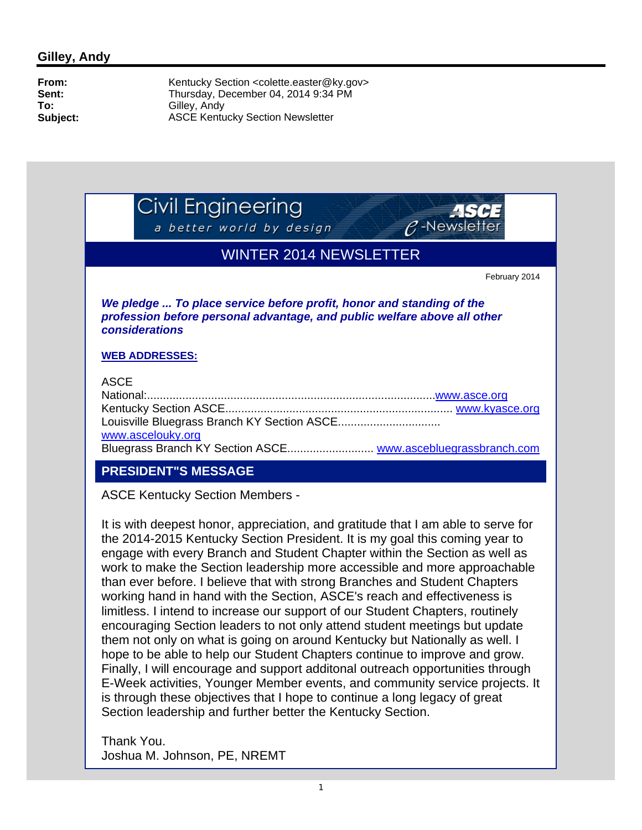Civil Engineering

a better world by design



## WINTER 2014 NEWSLETTER

February 2014

*We pledge ... To place service before profit, honor and standing of the profession before personal advantage, and public welfare above all other considerations*

#### **WEB ADDRESSES:**

#### ASCE

| .                 |  |
|-------------------|--|
|                   |  |
|                   |  |
|                   |  |
| www.ascelouky.org |  |
|                   |  |

### **PRESIDENT"S MESSAGE**

ASCE Kentucky Section Members -

It is with deepest honor, appreciation, and gratitude that I am able to serve for the 2014-2015 Kentucky Section President. It is my goal this coming year to engage with every Branch and Student Chapter within the Section as well as work to make the Section leadership more accessible and more approachable than ever before. I believe that with strong Branches and Student Chapters working hand in hand with the Section, ASCE's reach and effectiveness is limitless. I intend to increase our support of our Student Chapters, routinely encouraging Section leaders to not only attend student meetings but update them not only on what is going on around Kentucky but Nationally as well. I hope to be able to help our Student Chapters continue to improve and grow. Finally, I will encourage and support additonal outreach opportunities through E-Week activities, Younger Member events, and community service projects. It is through these objectives that I hope to continue a long legacy of great Section leadership and further better the Kentucky Section.

Thank You. Joshua M. Johnson, PE, NREMT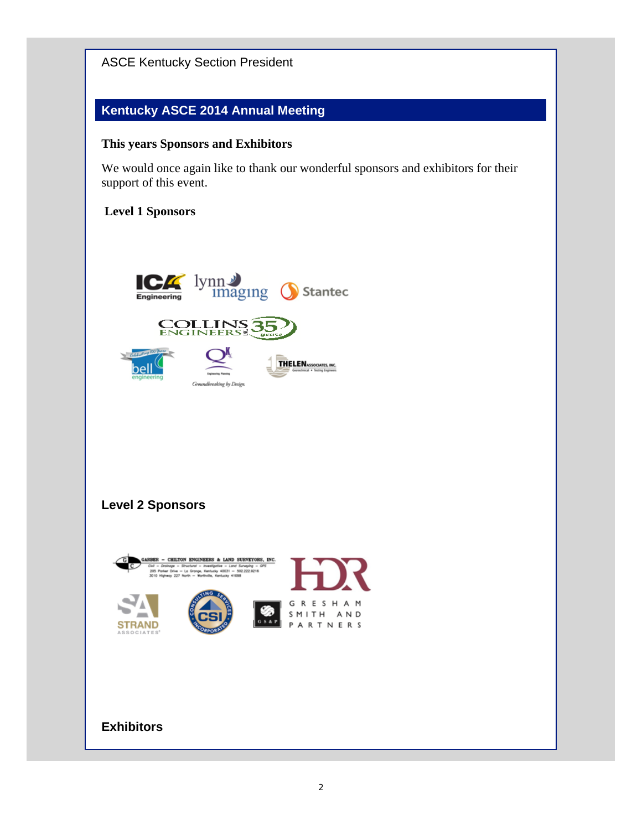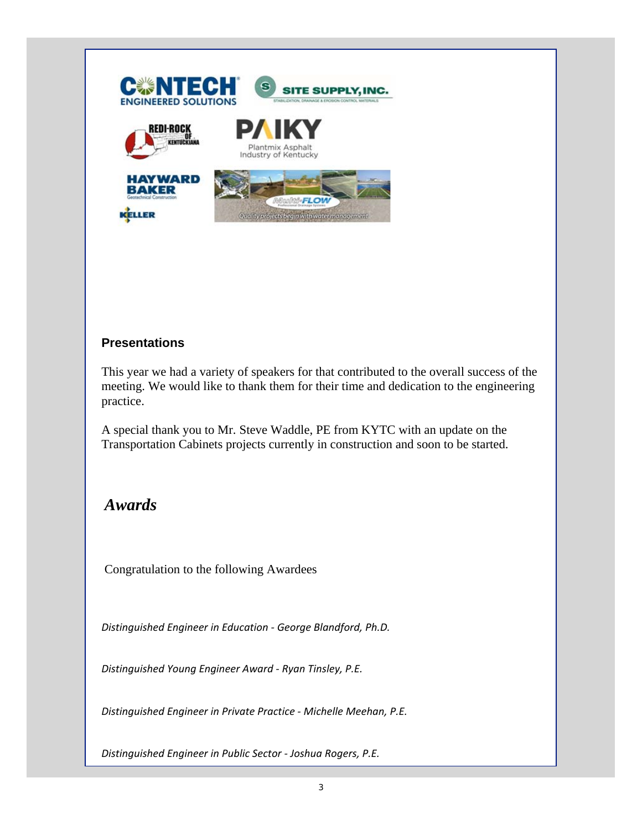

#### **Presentations**

This year we had a variety of speakers for that contributed to the overall success of the meeting. We would like to thank them for their time and dedication to the engineering practice.

A special thank you to Mr. Steve Waddle, PE from KYTC with an update on the Transportation Cabinets projects currently in construction and soon to be started.

# *Awards*

Congratulation to the following Awardees

*Distinguished Engineer in Education ‐ George Blandford, Ph.D.*

*Distinguished Young Engineer Award ‐ Ryan Tinsley, P.E.*

*Distinguished Engineer in Private Practice ‐ Michelle Meehan, P.E.*

*Distinguished Engineer in Public Sector ‐ Joshua Rogers, P.E.*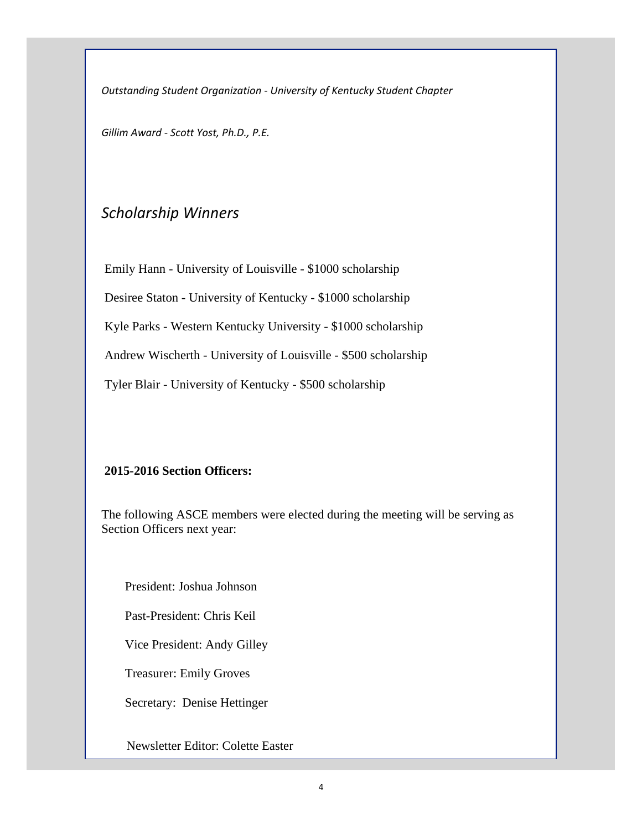*Outstanding Student Organization ‐ University of Kentucky Student Chapter*

*Gillim Award ‐ Scott Yost, Ph.D., P.E.*

## *Scholarship Winners*

 Emily Hann - University of Louisville - \$1000 scholarship Desiree Staton - University of Kentucky - \$1000 scholarship Kyle Parks - Western Kentucky University - \$1000 scholarship Andrew Wischerth - University of Louisville - \$500 scholarship

Tyler Blair - University of Kentucky - \$500 scholarship

#### **2015-2016 Section Officers:**

The following ASCE members were elected during the meeting will be serving as Section Officers next year:

President: Joshua Johnson

Past-President: Chris Keil

Vice President: Andy Gilley

Treasurer: Emily Groves

Secretary: Denise Hettinger

Newsletter Editor: Colette Easter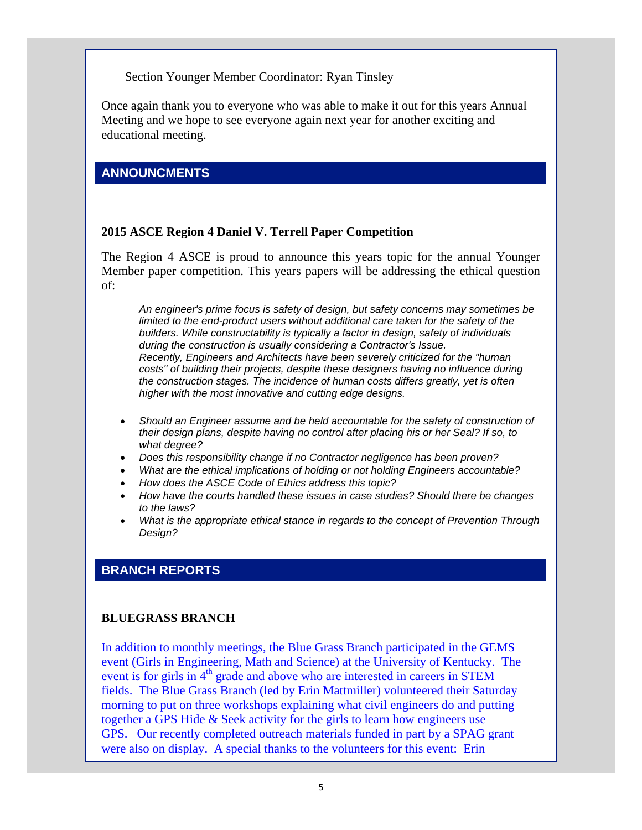Section Younger Member Coordinator: Ryan Tinsley

Once again thank you to everyone who was able to make it out for this years Annual Meeting and we hope to see everyone again next year for another exciting and educational meeting.

#### **ANNOUNCMENTS**

#### **2015 ASCE Region 4 Daniel V. Terrell Paper Competition**

The Region 4 ASCE is proud to announce this years topic for the annual Younger Member paper competition. This years papers will be addressing the ethical question of:

*An engineer's prime focus is safety of design, but safety concerns may sometimes be limited to the end-product users without additional care taken for the safety of the builders. While constructability is typically a factor in design, safety of individuals during the construction is usually considering a Contractor's Issue. Recently, Engineers and Architects have been severely criticized for the "human costs" of building their projects, despite these designers having no influence during the construction stages. The incidence of human costs differs greatly, yet is often higher with the most innovative and cutting edge designs.*

- *Should an Engineer assume and be held accountable for the safety of construction of their design plans, despite having no control after placing his or her Seal? If so, to what degree?*
- *Does this responsibility change if no Contractor negligence has been proven?*
- *What are the ethical implications of holding or not holding Engineers accountable?*
- *How does the ASCE Code of Ethics address this topic?*
- *How have the courts handled these issues in case studies? Should there be changes to the laws?*
- *What is the appropriate ethical stance in regards to the concept of Prevention Through Design?*

#### **BRANCH REPORTS**

#### **BLUEGRASS BRANCH**

In addition to monthly meetings, the Blue Grass Branch participated in the GEMS event (Girls in Engineering, Math and Science) at the University of Kentucky. The event is for girls in  $4<sup>th</sup>$  grade and above who are interested in careers in STEM fields. The Blue Grass Branch (led by Erin Mattmiller) volunteered their Saturday morning to put on three workshops explaining what civil engineers do and putting together a GPS Hide & Seek activity for the girls to learn how engineers use GPS. Our recently completed outreach materials funded in part by a SPAG grant were also on display. A special thanks to the volunteers for this event: Erin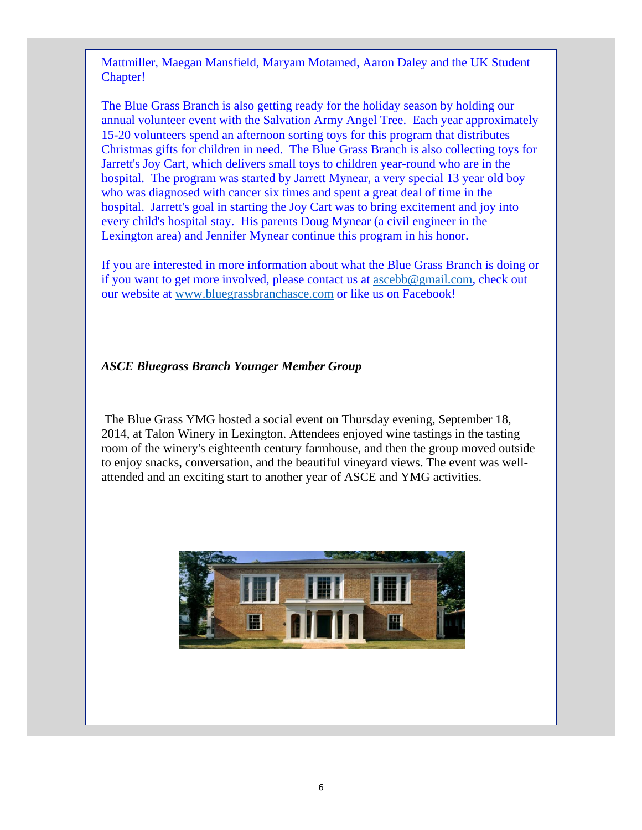Mattmiller, Maegan Mansfield, Maryam Motamed, Aaron Daley and the UK Student Chapter!

The Blue Grass Branch is also getting ready for the holiday season by holding our annual volunteer event with the Salvation Army Angel Tree. Each year approximately 15-20 volunteers spend an afternoon sorting toys for this program that distributes Christmas gifts for children in need. The Blue Grass Branch is also collecting toys for Jarrett's Joy Cart, which delivers small toys to children year-round who are in the hospital. The program was started by Jarrett Mynear, a very special 13 year old boy who was diagnosed with cancer six times and spent a great deal of time in the hospital. Jarrett's goal in starting the Joy Cart was to bring excitement and joy into every child's hospital stay. His parents Doug Mynear (a civil engineer in the Lexington area) and Jennifer Mynear continue this program in his honor.

If you are interested in more information about what the Blue Grass Branch is doing or if you want to get more involved, please contact us at ascebb@gmail.com, check out our website at www.bluegrassbranchasce.com or like us on Facebook!

#### *ASCE Bluegrass Branch Younger Member Group*

 The Blue Grass YMG hosted a social event on Thursday evening, September 18, 2014, at Talon Winery in Lexington. Attendees enjoyed wine tastings in the tasting room of the winery's eighteenth century farmhouse, and then the group moved outside to enjoy snacks, conversation, and the beautiful vineyard views. The event was wellattended and an exciting start to another year of ASCE and YMG activities.

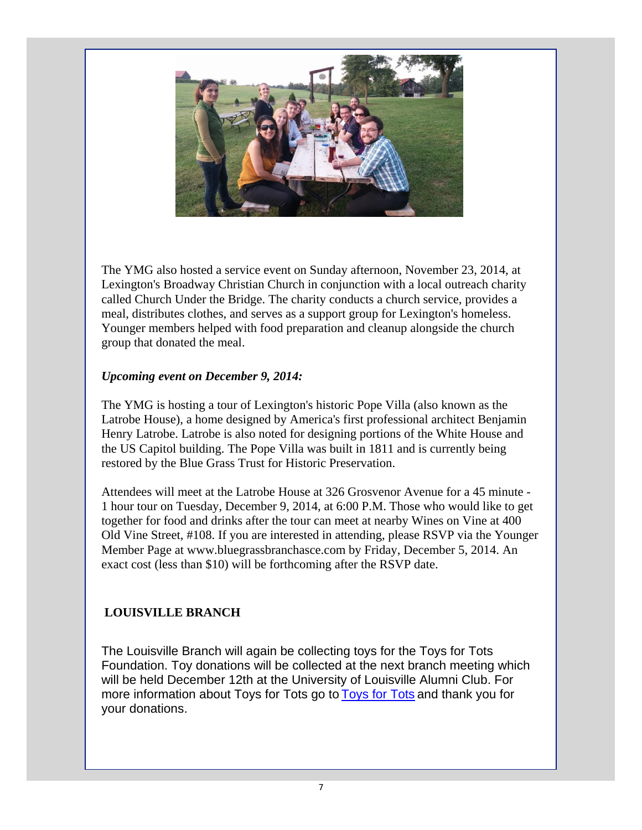

The YMG also hosted a service event on Sunday afternoon, November 23, 2014, at Lexington's Broadway Christian Church in conjunction with a local outreach charity called Church Under the Bridge. The charity conducts a church service, provides a meal, distributes clothes, and serves as a support group for Lexington's homeless. Younger members helped with food preparation and cleanup alongside the church group that donated the meal.

#### *Upcoming event on December 9, 2014:*

The YMG is hosting a tour of Lexington's historic Pope Villa (also known as the Latrobe House), a home designed by America's first professional architect Benjamin Henry Latrobe. Latrobe is also noted for designing portions of the White House and the US Capitol building. The Pope Villa was built in 1811 and is currently being restored by the Blue Grass Trust for Historic Preservation.

Attendees will meet at the Latrobe House at 326 Grosvenor Avenue for a 45 minute - 1 hour tour on Tuesday, December 9, 2014, at 6:00 P.M. Those who would like to get together for food and drinks after the tour can meet at nearby Wines on Vine at 400 Old Vine Street, #108. If you are interested in attending, please RSVP via the Younger Member Page at www.bluegrassbranchasce.com by Friday, December 5, 2014. An exact cost (less than \$10) will be forthcoming after the RSVP date.

### **LOUISVILLE BRANCH**

The Louisville Branch will again be collecting toys for the Toys for Tots Foundation. Toy donations will be collected at the next branch meeting which will be held December 12th at the University of Louisville Alumni Club. For more information about Toys for Tots go to Toys for Tots and thank you for your donations.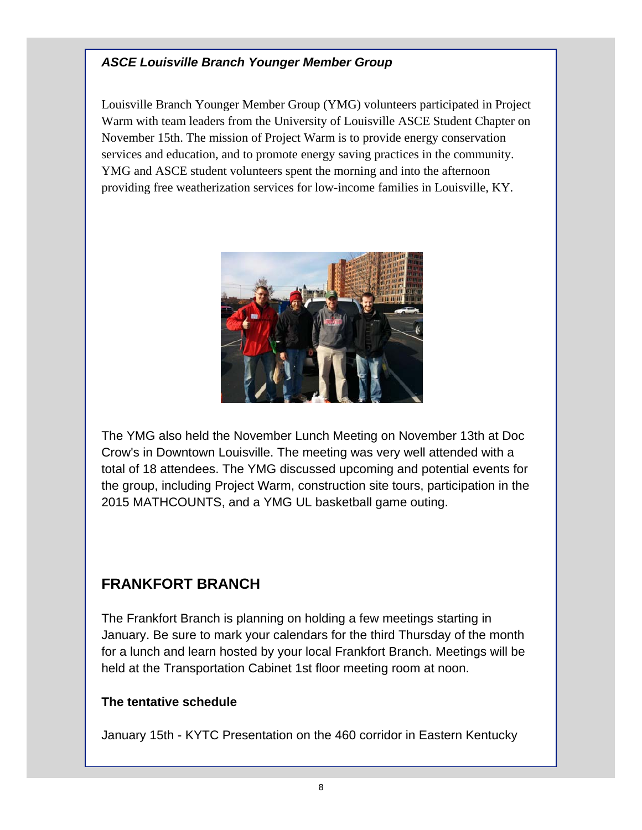### *ASCE Louisville Branch Younger Member Group*

Louisville Branch Younger Member Group (YMG) volunteers participated in Project Warm with team leaders from the University of Louisville ASCE Student Chapter on November 15th. The mission of Project Warm is to provide energy conservation services and education, and to promote energy saving practices in the community. YMG and ASCE student volunteers spent the morning and into the afternoon providing free weatherization services for low-income families in Louisville, KY.



The YMG also held the November Lunch Meeting on November 13th at Doc Crow's in Downtown Louisville. The meeting was very well attended with a total of 18 attendees. The YMG discussed upcoming and potential events for the group, including Project Warm, construction site tours, participation in the 2015 MATHCOUNTS, and a YMG UL basketball game outing.

## **FRANKFORT BRANCH**

The Frankfort Branch is planning on holding a few meetings starting in January. Be sure to mark your calendars for the third Thursday of the month for a lunch and learn hosted by your local Frankfort Branch. Meetings will be held at the Transportation Cabinet 1st floor meeting room at noon.

#### **The tentative schedule**

January 15th - KYTC Presentation on the 460 corridor in Eastern Kentucky